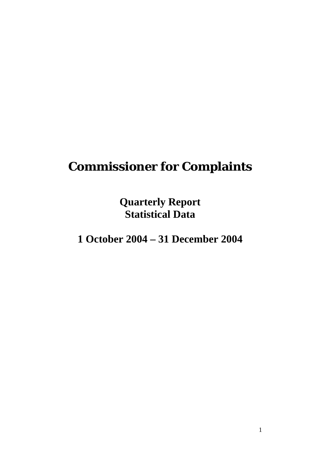# **Commissioner for Complaints**

**Quarterly Report Statistical Data** 

**1 October 2004 – 31 December 2004**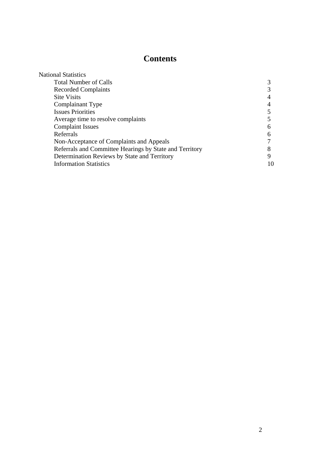# **Contents**

| <b>National Statistics</b>                              |   |
|---------------------------------------------------------|---|
| <b>Total Number of Calls</b>                            |   |
| <b>Recorded Complaints</b>                              |   |
| <b>Site Visits</b>                                      |   |
| Complainant Type                                        |   |
| <b>Issues Priorities</b>                                |   |
| Average time to resolve complaints                      |   |
| <b>Complaint Issues</b>                                 |   |
| Referrals                                               |   |
| Non-Acceptance of Complaints and Appeals                |   |
| Referrals and Committee Hearings by State and Territory |   |
| Determination Reviews by State and Territory            | Q |
| <b>Information Statistics</b>                           |   |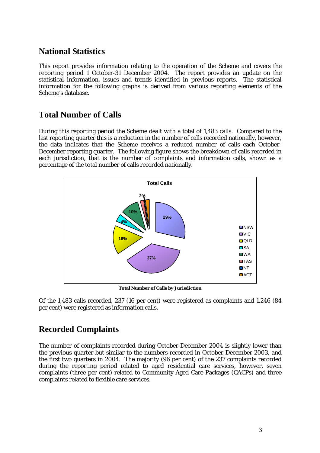# **National Statistics**

This report provides information relating to the operation of the Scheme and covers the reporting period 1 October-31 December 2004. The report provides an update on the statistical information, issues and trends identified in previous reports. The statistical information for the following graphs is derived from various reporting elements of the Scheme's database.

# **Total Number of Calls**

During this reporting period the Scheme dealt with a total of 1,483 calls. Compared to the last reporting quarter this is a reduction in the number of calls recorded nationally, however, the data indicates that the Scheme receives a reduced number of calls each October-December reporting quarter. The following figure shows the breakdown of calls recorded in each jurisdiction, that is the number of complaints and information calls, shown as a percentage of the total number of calls recorded nationally.



**Total Number of Calls by Jurisdiction**

Of the 1,483 calls recorded, 237 (16 per cent) were registered as complaints and 1,246 (84 per cent) were registered as information calls.

# **Recorded Complaints**

The number of complaints recorded during October-December 2004 is slightly lower than the previous quarter but similar to the numbers recorded in October-December 2003, and the first two quarters in 2004. The majority (96 per cent) of the 237 complaints recorded during the reporting period related to aged residential care services, however, seven complaints (three per cent) related to Community Aged Care Packages (CACPs) and three complaints related to flexible care services.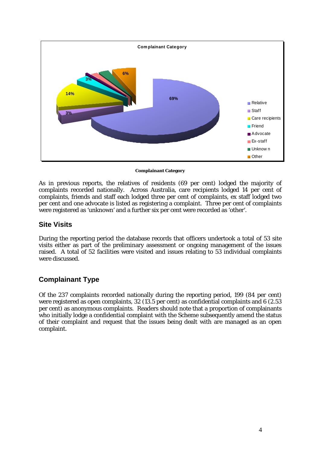

**Complainant Category** 

As in previous reports, the relatives of residents (69 per cent) lodged the majority of complaints recorded nationally. Across Australia, care recipients lodged 14 per cent of complaints, friends and staff each lodged three per cent of complaints, ex staff lodged two per cent and one advocate is listed as registering a complaint. Three per cent of complaints were registered as 'unknown' and a further six per cent were recorded as 'other'.

#### **Site Visits**

During the reporting period the database records that officers undertook a total of 53 site visits either as part of the preliminary assessment or ongoing management of the issues raised.A total of 52 facilities were visited and issues relating to 53 individual complaints were discussed.

# **Complainant Type**

Of the 237 complaints recorded nationally during the reporting period, 199 (84 per cent) were registered as open complaints, 32 (13.5 per cent) as confidential complaints and 6 (2.53 per cent) as anonymous complaints. Readers should note that a proportion of complainants who initially lodge a confidential complaint with the Scheme subsequently amend the status of their complaint and request that the issues being dealt with are managed as an open complaint.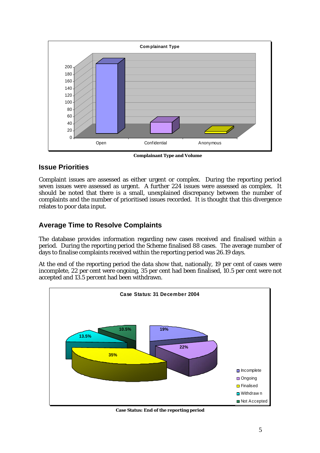

 **Complainant Type and Volume** 

# **Issue Priorities**

Complaint issues are assessed as either urgent or complex. During the reporting period seven issues were assessed as urgent. A further 224 issues were assessed as complex. It should be noted that there is a small, unexplained discrepancy between the number of complaints and the number of prioritised issues recorded. It is thought that this divergence relates to poor data input.

# **Average Time to Resolve Complaints**

The database provides information regarding new cases received and finalised within a period. During the reporting period the Scheme finalised 88 cases. The average number of days to finalise complaints received within the reporting period was 26.19 days.

At the end of the reporting period the data show that, nationally, 19 per cent of cases were incomplete, 22 per cent were ongoing, 35 per cent had been finalised, 10.5 per cent were not accepted and 13.5 percent had been withdrawn.



**Case Status: End of the reporting period**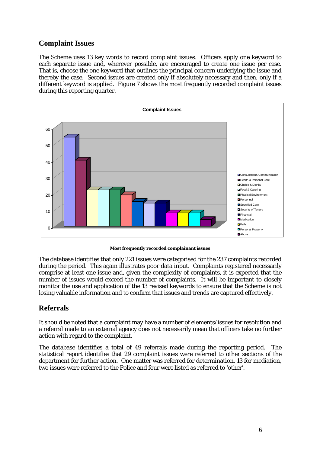# **Complaint Issues**

The Scheme uses 13 key words to record complaint issues. Officers apply one keyword to each separate issue and, wherever possible, are encouraged to create one issue per case. That is, choose the one keyword that outlines the principal concern underlying the issue and thereby the case. Second issues are created only if absolutely necessary and then, only if a different keyword is applied. Figure 7 shows the most frequently recorded complaint issues during this reporting quarter.



**Most frequently recorded complainant issues** 

The database identifies that only 221 issues were categorised for the 237 complaints recorded during the period. This again illustrates poor data input. Complaints registered necessarily comprise at least one issue and, given the complexity of complaints, it is expected that the number of issues would exceed the number of complaints. It will be important to closely monitor the use and application of the 13 revised keywords to ensure that the Scheme is not losing valuable information and to confirm that issues and trends are captured effectively.

# **Referrals**

It should be noted that a complaint may have a number of elements/issues for resolution and a referral made to an external agency does not necessarily mean that officers take no further action with regard to the complaint.

The database identifies a total of 49 referrals made during the reporting period. The statistical report identifies that 29 complaint issues were referred to other sections of the department for further action. One matter was referred for determination, 13 for mediation, two issues were referred to the Police and four were listed as referred to 'other'.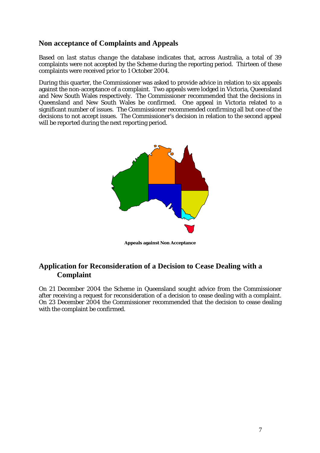## **Non acceptance of Complaints and Appeals**

Based on *last status change* the database indicates that, across Australia, a total of 39 complaints were not accepted by the Scheme during the reporting period. Thirteen of these complaints were received prior to 1 October 2004.

During this quarter, the Commissioner was asked to provide advice in relation to six appeals against the non-acceptance of a complaint. Two appeals were lodged in Victoria, Queensland and New South Wales respectively. The Commissioner recommended that the decisions in Queensland and New South Wales be confirmed. One appeal in Victoria related to a significant number of issues. The Commissioner recommended confirming all but one of the decisions to not accept issues. The Commissioner's decision in relation to the second appeal will be reported during the next reporting period.



**Appeals against Non Acceptance** 

#### **Application for Reconsideration of a Decision to Cease Dealing with a Complaint**

On 21 December 2004 the Scheme in Queensland sought advice from the Commissioner after receiving a request for reconsideration of a decision to cease dealing with a complaint. On 23 December 2004 the Commissioner recommended that the decision to cease dealing with the complaint be confirmed.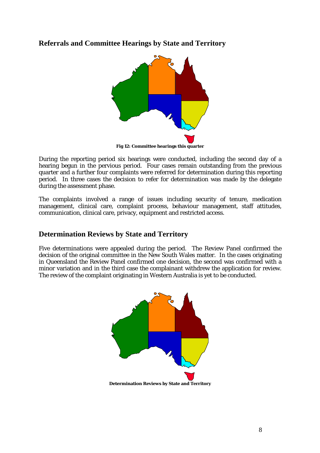#### **Referrals and Committee Hearings by State and Territory**



During the reporting period six hearings were conducted, including the second day of a hearing begun in the pervious period. Four cases remain outstanding from the previous quarter and a further four complaints were referred for determination during this reporting period. In three cases the decision to refer for determination was made by the delegate during the assessment phase.

The complaints involved a range of issues including security of tenure, medication management, clinical care, complaint process, behaviour management, staff attitudes, communication, clinical care, privacy, equipment and restricted access.

#### **Determination Reviews by State and Territory**

Five determinations were appealed during the period. The Review Panel confirmed the decision of the original committee in the New South Wales matter. In the cases originating in Queensland the Review Panel confirmed one decision, the second was confirmed with a minor variation and in the third case the complainant withdrew the application for review. The review of the complaint originating in Western Australia is yet to be conducted.